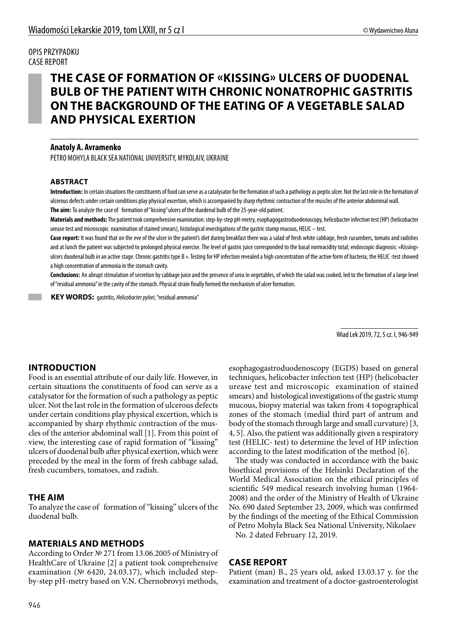#### OPIS PRZYPADKU CASE REPORT

# **THE CASE OF FORMATION OF «KISSING» ULCERS OF DUODENAL BULB OF THE PATIENT WITH CHRONIC NONATROPHIC GASTRITIS ON THE BACKGROUND OF THE EATING OF A VEGETABLE SALAD AND PHYSICAL EXERTION**

### **Anatoly A. Avramenko**

PETRO MOHYLA BLACK SEA NATIONAL UNIVERSITY, MYKOLAIV, UKRAINE

### **ABSTRACT**

**Introduction:** In certain situations the constituents of food can serve as a catalysator for the formation of such a pathology as peptic ulcer. Not the last role in the formation of ulcerous defects under certain conditions play physical excertion, which is accompanied by sharp rhythmic contraction of the muscles of the anterior abdominal wall. **The aim:** To analyze the case of formation of "kissing" ulcers of the duodenal bulb of the 25-year-old patient.

**Materials and methods:** The patient took comprehensive examination: step-by-step рН-metry, esophagogastroduodenoscopy, helicobacter infection test (НР) (helicobacter urease test and microscopic examination of stained smears), histological investigations of the gastric stump mucous, HELIC – test.

**Case report:** It was found that on the eve of the ulcer in the patient's diet during breakfast there was a salad of fresh white cabbage, fresh cucumbers, tomato and radishes and at lunch the patient was subjected to prolonged physical exercise. The level of gastric juice corresponded to the basal normacidity total; endoscopic diagnosis: «Kissing» ulcers duodenal bulb in an active stage. Chronic gastritis type B ». Testing for HP infection revealed a high concentration of the active form of bacteria, the HELIC -test showed a high concentration of ammonia in the stomach cavity.

**Conclusions:** An abrupt stimulation of secretion by cabbage juice and the presence of urea in vegetables, of which the salad was cooked, led to the formation of a large level of "residual ammonia" in the cavity of the stomach. Physical strain finally formed the mechanism of ulcer formation.

 **KEY WORDS:** gastritis, *Helicobacter рylori*, "residual ammonia"

Wiad Lek 2019, 72, 5 cz. I, 946-949

## **INTRODUCTION**

Food is an essential attribute of our daily life. However, in certain situations the constituents of food can serve as a catalysator for the formation of such a pathology as peptic ulcer. Not the last role in the formation of ulcerous defects under certain conditions play physical excertion, which is accompanied by sharp rhythmic contraction of the muscles of the anterior abdominal wall [1]. From this point of view, the interesting case of rapid formation of "kissing" ulcers of duodenal bulb after physical exertion, which were preceded by the meal in the form of fresh cabbage salad, fresh cucumbers, tomatoes, and radish.

### **THE AIM**

To analyze the case of formation of "kissing" ulcers of the duodenal bulb.

### **MATERIALS AND METHODS**

According to Order № 271 from 13.06.2005 of Ministry of HealthCare of Ukraine [2] a patient took comprehensive examination (№ 6420, 24.03.17), which included stepby-step рН-metry based on V.N. Chernobrovyi methods,

esophagogastroduodenoscopy (EGDS) based on general techniques, helicobacter infection test (НР) (helicobacter urease test and microscopic examination of stained smears) and histological investigations of the gastric stump mucous, biopsy material was taken from 4 topographical zones of the stomach (medial third part of antrum and body of the stomach through large and small curvature) [3, 4, 5]. Also, the patient was additionally given a respiratory test (HELIC- test) to determine the level of HP infection according to the latest modification of the method [6].

The study was conducted in accordance with the basic bioethical provisions of the Helsinki Declaration of the World Medical Association on the ethical principles of scientific 549 medical research involving human (1964- 2008) and the order of the Ministry of Health of Ukraine No. 690 dated September 23, 2009, which was confirmed by the findings of the meeting of the Ethical Commission of Petro Mohyla Black Sea National University, Nikolaev

No. 2 dated February 12, 2019.

### **CASE REPORT**

Patient (man) В., 25 years old, asked 13.03.17 y. for the examination and treatment of a doctor-gastroenterologist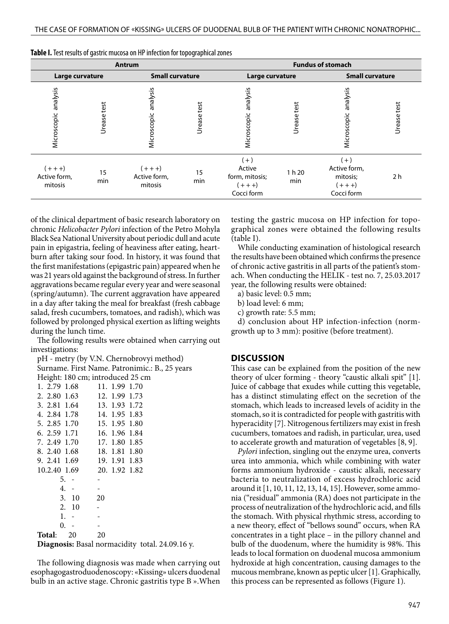| Antrum                               |             |                                      |             | <b>Fundus of stomach</b>                                     |                |                                                              |             |
|--------------------------------------|-------------|--------------------------------------|-------------|--------------------------------------------------------------|----------------|--------------------------------------------------------------|-------------|
| Large curvature                      |             | <b>Small curvature</b>               |             | Large curvature                                              |                | <b>Small curvature</b>                                       |             |
| analysis<br>Microscopic              | Urease test | analysis<br>Microscopic              | Urease test | analysis<br>Microscopic                                      | test<br>Urease | analysis<br>Microscopic                                      | Urease test |
| $(+ + +)$<br>Active form,<br>mitosis | 15<br>min   | $(+ + +)$<br>Active form,<br>mitosis | 15<br>min   | $(+)$<br>Active<br>form, mitosis;<br>$(+ + +)$<br>Cocci form | 1 h 20<br>min  | $(+)$<br>Active form,<br>mitosis;<br>$(+ + +)$<br>Cocci form | 2 h         |

**Table I.** Test results of gastric mucosa on HP infection for topographical zones

of the clinical department of basic research laboratory on chronic *Helicobacter Pylori* infection of the Petro Mohyla Black Sea National University about periodic dull and acute pain in epigastria, feeling of heaviness after eating, heartburn after taking sour food. In history, it was found that the first manifestations (epigastric pain) appeared when he was 21 years old against the background of stress. In further aggravations became regular every year and were seasonal (spring/autumn). The current aggravation have appeared in a day after taking the meal for breakfast (fresh cabbage salad, fresh cucumbers, tomatoes, and radish), which was followed by prolonged physical exertion as lifting weights during the lunch time.

The following results were obtained when carrying out investigations:

рН - metry (by V.N. Chernobrovyi method) Surname. First Name. Patronimic.: B., 25 years Height: 180 cm; introduced 25 cm<br>1 2 79 1 68 11 1 99 1 70  $11.199170$ 

| 1.2.77.100    | 11.<br>1.77 1.70 |
|---------------|------------------|
| 2. 2.80 1.63  | 12. 1.99 1.73    |
| 3. 2.81 1.64  | 13. 1.93 1.72    |
| 4.2.84 1.78   | 14. 1.95 1.83    |
| 5. 2.85 1.70  | 15. 1.95 1.80    |
| 6. 2.59 1.71  | 16. 1.96 1.84    |
| 7. 2.49 1.70  | 17.1.80 1.85     |
| 8. 2.40 1.68  | 18. 1.81 1.80    |
| 9. 2.41 1.69  | 19. 1.91 1.83    |
| 10.2.40 1.69  | 20. 1.92 1.82    |
| 5.            |                  |
| $4. -$        |                  |
| 3.10          | 20               |
| 2. 10         |                  |
| $1. -$        |                  |
| $0. -$        |                  |
| Total:<br>-20 | 20               |
|               |                  |

**Diagnosis:** Basal normacidity total. 24.09.16 у.

The following diagnosis was made when carrying out esophagogastroduodenoscopy: «Kissing» ulcers duodenal bulb in an active stage. Chronic gastritis type B ».When

testing the gastric mucosa on HP infection for topographical zones were obtained the following results (table I).

While conducting examination of histological research the results have been obtained which confirms the presence of chronic active gastritis in all parts of the patient's stomach. When conducting the HELIK - test no. 7, 25.03.2017 year, the following results were obtained:

- a) basic level: 0.5 mm;
- b) load level: 6 mm;
- с) growth rate: 5.5 mm;

d) conclusion about HP infection-infection (normgrowth up to 3 mm): positive (before treatment).

#### **DISCUSSION**

This case can be explained from the position of the new theory of ulcer forming - theory "caustic alkali spit" [1]. Juice of cabbage that exudes while cutting this vegetable, has a distinct stimulating effect on the secretion of the stomach, which leads to increased levels of acidity in the stomach, so it is contradicted for people with gastritis with hyperacidity [7]. Nitrogenous fertilizers may exist in fresh cucumbers, tomatoes and radish, in particular, urea, used to accelerate growth and maturation of vegetables [8, 9].

*Pylori* infection, singling out the enzyme urea, converts urea into ammonia, which while combining with water forms ammonium hydroxide - caustic alkali, necessary bacteria to neutralization of excess hydrochloric acid around it [1, 10, 11, 12, 13, 14, 15]. However, some ammonia ("residual" ammonia (RA) does not participate in the process of neutralization of the hydrochloric acid, and fills the stomach. With physical rhythmic stress, according to a new theory, effect of "bellows sound" occurs, when RA concentrates in a tight place – in the pillory channel and bulb of the duodenum, where the humidity is 98%. This leads to local formation on duodenal mucosa ammonium hydroxide at high concentration, causing damages to the mucous membrane, known as peptic ulcer [1]. Graphically, this process can be represented as follows (Figure 1).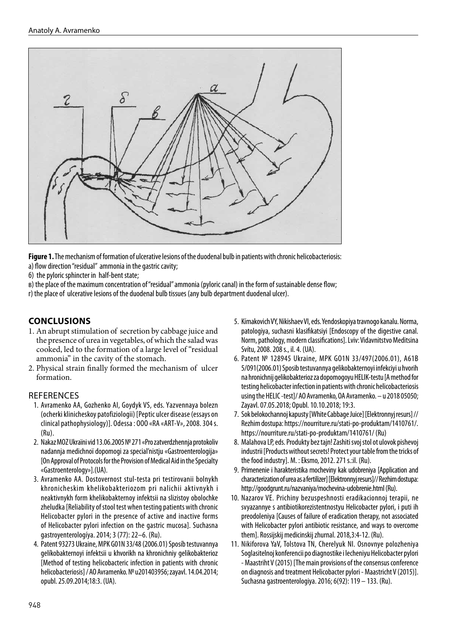

**Figure 1.** The mechanism of formation of ulcerative lesions of the duodenal bulb in patients with chronic helicobacteriosis: а) flow direction "residual" ammonia in the gastric cavity;

б) the pyloric sphincter in half-bent state;

в) the place of the maximum concentration of "residual" ammonia (pyloric canal) in the form of sustainable dense flow;

г) the place of ulcerative lesions of the duodenal bulb tissues (any bulb department duodenal ulcer).

### **CONCLUSIONS**

- 1. An abrupt stimulation of secretion by cabbage juice and the presence of urea in vegetables, of which the salad was cooked, led to the formation of a large level of "residual ammonia" in the cavity of the stomach.
- 2. Physical strain finally formed the mechanism of ulcer formation.

#### **REFERENCES**

- 1. Avramenko AA, Gozhenko AI, Goydyk VS, eds. Yаzvennaya bolezn (ocherki klinicheskoy patofiziologii) [Peptic ulcer disease (essays on clinical pathophysiology)]. Odessa : OOO «RA «ART-V», 2008. 304 s. (Ru).
- 2. Nakaz MOZ Ukraїni vіd 13.06.2005 № 271 «Pro zatverdzhennja protokolіv nadannja medichnoї dopomogi za specіal'nіstju «Gastroenterologіja» [On Approval of Protocols for the Provision of Medical Aid in the Specialty «Gastroenterology»].(UA).
- 3. Avramenko AA. Dostovernost stul-testa pri testirovanii bolnykh khronicheskim khelikobakteriozom pri nalichii aktivnykh i neaktivnykh form khelikobakternoy infektsii na slizistoy obolochke zheludka [Reliability of stool test when testing patients with chronic Helicobacter pylori in the presence of active and inactive forms of Helicobacter pylori infection on the gastric mucosa]. Suchasna gastroyenterologíya. 2014; 3 (77): 22–6. (Ru).
- 4. Patent 93273 Ukraine, MPK G01N 33/48 (2006.01) Sposíb testuvannya gelíkobakternoyi ínfektsii u khvorikh na khronichniy gelikobakterioz [Method of testing helicobacteric infection in patients with chronic helicobacteriosis] / AO Avramenko. № u201403956; zayavl. 14.04.2014; opubl. 25.09.2014;18:3. (UA).
- 5. Kímakovich VY, Nikishaev VI, eds. Yendoskopiya travnogo kanalu. Norma, patologiya, suchasni klasifikatsiyi [Endoscopy of the digestive canal. Norm, pathology, modern classifications]. Lviv: Vidavnitstvo Meditsina Svítu, 2008. 208 s., il. 4. (UA).
- 6. Patent № 128945 Ukraine, MPK GO1N 33/497(2006.01), A61B 5/091(2006.01) Sposib testuvannya gelikobakternoyi infekciyi u hvorih na hronichnij gelikobakterioz za dopomogoyu HELIK-testu [A method for testing helicobacter infection in patients with chronic helicobacteriosis using the HELIC -test]/ AO Avramenko, OA Avramenko. – u 2018 05050; Zayavl. 07.05.2018; Opubl. 10.10.2018; 19:3.
- 7. Sok belokochannoj kapusty [White Cabbage Juice] [Elektronnyj resurs] // Rezhim dostupa: https://nourriture.ru/stati-po-produktam/1410761/. https://nourriture.ru/stati-po-produktam/1410761/ (Ru)
- 8. Malahova LP, eds. Produkty bez tajn! Zashiti svoj stol ot ulovok pishevoj industrii [Products without secrets! Protect your table from the tricks of the food industry]. M. : Eksmo, 2012. 271 s.:il. (Ru).
- 9. Primenenie i harakteristika mocheviny kak udobreniya [Application and characterization of urea as a fertilizer] [Elektronnyj resurs]// Rezhim dostupa: http://goodgrunt.ru/nazvaniya/mochevina-udobrenie.html (Ru).
- 10. Nazarov VE. Prichiny bezuspeshnosti eradikacionnoj terapii, ne svyazannye s antibiotikorezistentnostyu Helicobacter pylori, i puti ih preodoleniya [Causes of failure of eradication therapy, not associated with Helicobacter pylori antibiotic resistance, and ways to overcome them]. Rossijskij medicinskij zhurnal. 2018,3:4-12. (Ru).
- 11. Nikiforova YaV, Tolstova TN, Cherelyuk NI. Osnovnye polozheniya Soglasitelnoj konferencii po diagnostike i lecheniyu Helicobacter pylori - Maastriht V (2015) [The main provisions of the consensus conference on diagnosis and treatment Helicobacter pylori - Maastricht V (2015)]. Suchasna gastroenterologiya. 2016; 6(92): 119 – 133. (Ru).